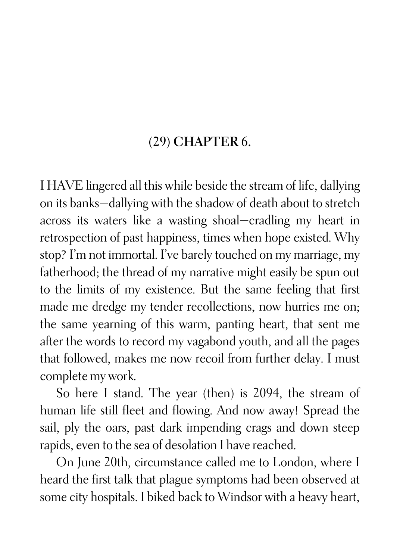## (29) CHAPTER 6.

I HAVE lingered all this while beside the stream of life, dallying on its banks—dallying with the shadow of death about to stretch across its waters like a wasting shoal—cradling my heart in retrospection of past happiness, times when hope existed. Why stop? I'm not immortal. I've barely touched on my marriage, my fatherhood; the thread of my narrative might easily be spun out to the limits of my existence. But the same feeling that first made me dredge my tender recollections, now hurries me on; the same yearning of this warm, panting heart, that sent me after the words to record my vagabond youth, and all the pages that followed, makes me now recoil from further delay. I must complete my work.

So here I stand. The year (then) is 2094, the stream of human life still fleet and flowing. And now away! Spread the sail, ply the oars, past dark impending crags and down steep rapids, even to the sea of desolation I have reached.

On June 20th, circumstance called me to London, where I heard the first talk that plague symptoms had been observed at some city hospitals. I biked back to Windsor with a heavy heart,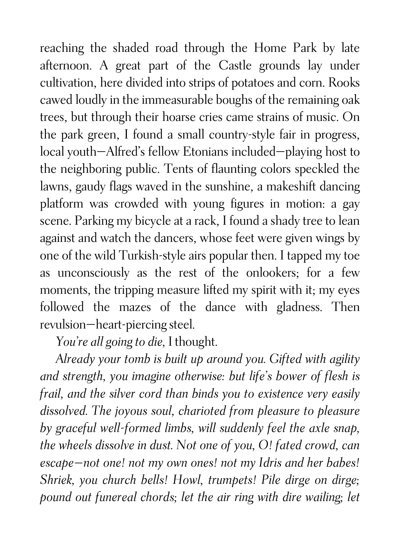reaching the shaded road through the Home Park by late afternoon. A great part of the Castle grounds lay under cultivation, here divided into strips of potatoes and corn. Rooks cawed loudly in the immeasurable boughs of the remaining oak trees, but through their hoarse cries came strains of music. On the park green, I found a small country-style fair in progress, local youth—Alfred's fellow Etonians included—playing host to the neighboring public. Tents of flaunting colors speckled the lawns, gaudy flags waved in the sunshine, a makeshift dancing platform was crowded with young figures in motion: a gay scene. Parking my bicycle at a rack, I found a shady tree to lean against and watch the dancers, whose feet were given wings by one of the wild Turkish-style airs popular then. I tapped my toe as unconsciously as the rest of the onlookers; for a few moments, the tripping measure lifted my spirit with it; my eyes followed the mazes of the dance with gladness. Then revulsion—heart-piercing steel.

*You're all going to die,* I thought.

*Already your tomb is built up around you. Gifted with agility and strength, you imagine otherwise: but life's bower of flesh is frail, and the silver cord than binds you to existence very easily dissolved. The joyous soul, charioted from pleasure to pleasure by graceful well-formed limbs, will suddenly feel the axle snap, the wheels dissolve in dust. Not one of you, O! fated crowd, can escape—not one! not my own ones! not my Idris and her babes! Shriek, you church bells! Howl, trumpets! Pile dirge on dirge; pound out funereal chords; let the air ring with dire wailing; let*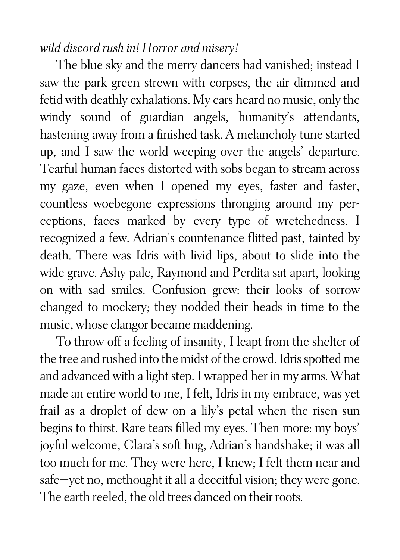## *wild discord rush in! Horror and misery!*

The blue sky and the merry dancers had vanished; instead I saw the park green strewn with corpses, the air dimmed and fetid with deathly exhalations. My ears heard no music, only the windy sound of guardian angels, humanity's attendants, hastening away from a finished task. A melancholy tune started up, and I saw the world weeping over the angels' departure. Tearful human faces distorted with sobs began to stream across my gaze, even when I opened my eyes, faster and faster, countless woebegone expressions thronging around my perceptions, faces marked by every type of wretchedness. I recognized a few. Adrian's countenance flitted past, tainted by death. There was Idris with livid lips, about to slide into the wide grave. Ashy pale, Raymond and Perdita sat apart, looking on with sad smiles. Confusion grew: their looks of sorrow changed to mockery; they nodded their heads in time to the music, whose clangor became maddening.

To throw off a feeling of insanity, I leapt from the shelter of the tree and rushed into the midst of the crowd. Idris spotted me and advanced with a light step. I wrapped her in my arms. What made an entire world to me, I felt, Idris in my embrace, was yet frail as a droplet of dew on a lily's petal when the risen sun begins to thirst. Rare tears filled my eyes. Then more: my boys' joyful welcome, Clara's soft hug, Adrian's handshake; it was all too much for me. They were here, I knew; I felt them near and safe—yet no, methought it all a deceitful vision; they were gone. The earth reeled, the old trees danced on their roots.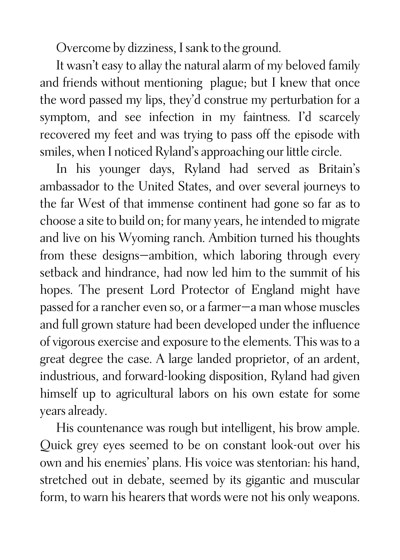Overcome by dizziness, I sank to the ground.

It wasn't easy to allay the natural alarm of my beloved family and friends without mentioning plague; but I knew that once the word passed my lips, they'd construe my perturbation for a symptom, and see infection in my faintness. I'd scarcely recovered my feet and was trying to pass off the episode with smiles, when I noticed Ryland's approaching our little circle.

In his younger days, Ryland had served as Britain's ambassador to the United States, and over several journeys to the far West of that immense continent had gone so far as to choose a site to build on; for many years, he intended to migrate and live on his Wyoming ranch. Ambition turned his thoughts from these designs—ambition, which laboring through every setback and hindrance, had now led him to the summit of his hopes. The present Lord Protector of England might have passed for a rancher even so, or a farmer—a man whose muscles and full grown stature had been developed under the influence of vigorous exercise and exposure to the elements. This was to a great degree the case. A large landed proprietor, of an ardent, industrious, and forward-looking disposition, Ryland had given himself up to agricultural labors on his own estate for some years already.

His countenance was rough but intelligent, his brow ample. Quick grey eyes seemed to be on constant look-out over his own and his enemies' plans. His voice was stentorian: his hand, stretched out in debate, seemed by its gigantic and muscular form, to warn his hearers that words were not his only weapons.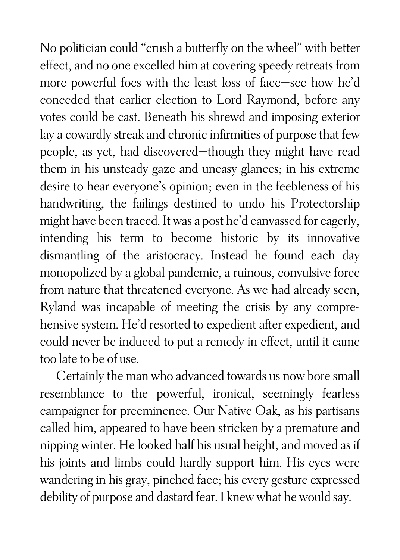No politician could "crush a butterfly on the wheel" with better effect, and no one excelled him at covering speedy retreats from more powerful foes with the least loss of face—see how he'd conceded that earlier election to Lord Raymond, before any votes could be cast. Beneath his shrewd and imposing exterior lay a cowardly streak and chronic infirmities of purpose that few people, as yet, had discovered—though they might have read them in his unsteady gaze and uneasy glances; in his extreme desire to hear everyone's opinion; even in the feebleness of his handwriting, the failings destined to undo his Protectorship might have been traced. It was a post he'd canvassed for eagerly, intending his term to become historic by its innovative dismantling of the aristocracy. Instead he found each day monopolized by a global pandemic, a ruinous, convulsive force from nature that threatened everyone. As we had already seen, Ryland was incapable of meeting the crisis by any comprehensive system. He'd resorted to expedient after expedient, and could never be induced to put a remedy in effect, until it came too late to be of use.

Certainly the man who advanced towards us now bore small resemblance to the powerful, ironical, seemingly fearless campaigner for preeminence. Our Native Oak, as his partisans called him, appeared to have been stricken by a premature and nipping winter. He looked half his usual height, and moved as if his joints and limbs could hardly support him. His eyes were wandering in his gray, pinched face; his every gesture expressed debility of purpose and dastard fear. I knew what he would say.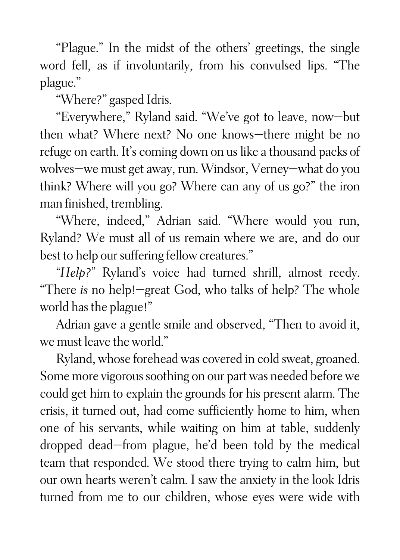"Plague." In the midst of the others' greetings, the single word fell, as if involuntarily, from his convulsed lips. "The plague."

"Where?" gasped Idris.

"Everywhere," Ryland said. "We've got to leave, now—but then what? Where next? No one knows—there might be no refuge on earth. It's coming down on us like a thousand packs of wolves—we must get away, run. Windsor, Verney—what do you think? Where will you go? Where can any of us go?" the iron man finished, trembling.

"Where, indeed," Adrian said. "Where would you run, Ryland? We must all of us remain where we are, and do our best to help our suffering fellow creatures."

*"Help?"* Ryland's voice had turned shrill, almost reedy. "There *is* no help!—great God, who talks of help? The whole world has the plague!"

Adrian gave a gentle smile and observed, "Then to avoid it, we must leave the world."

Ryland, whose forehead was covered in cold sweat, groaned. Some more vigorous soothing on our part was needed before we could get him to explain the grounds for his present alarm. The crisis, it turned out, had come sufficiently home to him, when one of his servants, while waiting on him at table, suddenly dropped dead—from plague, he'd been told by the medical team that responded. We stood there trying to calm him, but our own hearts weren't calm. I saw the anxiety in the look Idris turned from me to our children, whose eyes were wide with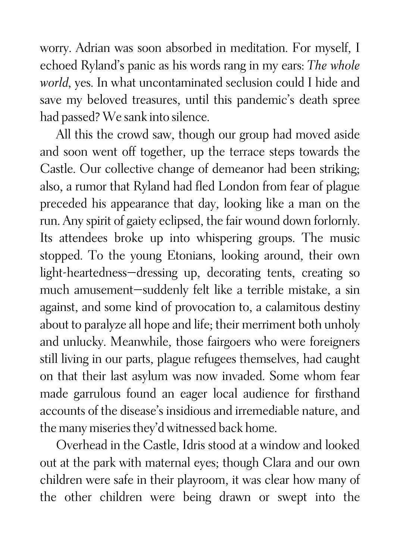worry. Adrian was soon absorbed in meditation. For myself, I echoed Ryland's panic as his words rang in my ears: *The whole world,* yes. In what uncontaminated seclusion could I hide and save my beloved treasures, until this pandemic's death spree had passed? We sank into silence.

All this the crowd saw, though our group had moved aside and soon went off together, up the terrace steps towards the Castle. Our collective change of demeanor had been striking; also, a rumor that Ryland had fled London from fear of plague preceded his appearance that day, looking like a man on the run. Any spirit of gaiety eclipsed, the fair wound down forlornly. Its attendees broke up into whispering groups. The music stopped. To the young Etonians, looking around, their own light-heartedness—dressing up, decorating tents, creating so much amusement—suddenly felt like a terrible mistake, a sin against, and some kind of provocation to, a calamitous destiny about to paralyze all hope and life; their merriment both unholy and unlucky. Meanwhile, those fairgoers who were foreigners still living in our parts, plague refugees themselves, had caught on that their last asylum was now invaded. Some whom fear made garrulous found an eager local audience for firsthand accounts of the disease's insidious and irremediable nature, and the many miseries they'd witnessed back home.

Overhead in the Castle, Idris stood at a window and looked out at the park with maternal eyes; though Clara and our own children were safe in their playroom, it was clear how many of the other children were being drawn or swept into the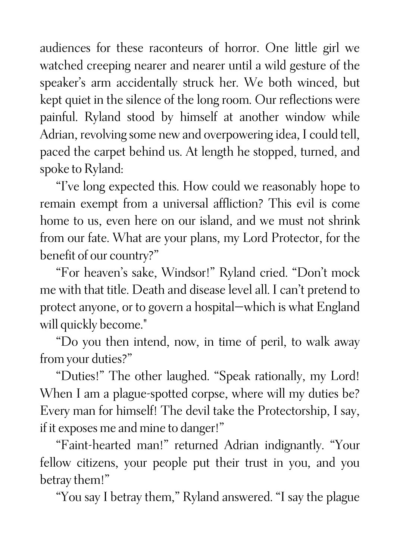audiences for these raconteurs of horror. One little girl we watched creeping nearer and nearer until a wild gesture of the speaker's arm accidentally struck her. We both winced, but kept quiet in the silence of the long room. Our reflections were painful. Ryland stood by himself at another window while Adrian, revolving some new and overpowering idea, I could tell, paced the carpet behind us. At length he stopped, turned, and spoke to Ryland:

"I've long expected this. How could we reasonably hope to remain exempt from a universal affliction? This evil is come home to us, even here on our island, and we must not shrink from our fate. What are your plans, my Lord Protector, for the benefit of our country?"

"For heaven's sake, Windsor!" Ryland cried. "Don't mock me with that title. Death and disease level all. I can't pretend to protect anyone, or to govern a hospital—which is what England will quickly become."

"Do you then intend, now, in time of peril, to walk away from your duties?"

"Duties!" The other laughed. "Speak rationally, my Lord! When I am a plague-spotted corpse, where will my duties be? Every man for himself! The devil take the Protectorship, I say, if it exposes me and mine to danger!"

"Faint-hearted man!" returned Adrian indignantly. "Your fellow citizens, your people put their trust in you, and you betray them!"

"You say I betray them," Ryland answered. "I say the plague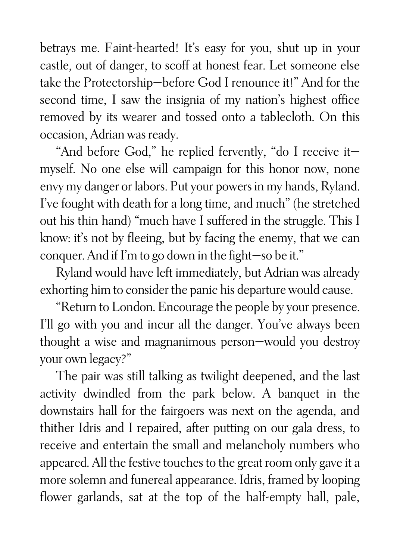betrays me. Faint-hearted! It's easy for you, shut up in your castle, out of danger, to scoff at honest fear. Let someone else take the Protectorship—before God I renounce it!" And for the second time, I saw the insignia of my nation's highest office removed by its wearer and tossed onto a tablecloth. On this occasion, Adrian was ready.

"And before God," he replied fervently, "do I receive it myself. No one else will campaign for this honor now, none envy my danger or labors. Put your powers in my hands, Ryland. I've fought with death for a long time, and much" (he stretched out his thin hand) "much have I suffered in the struggle. This I know: it's not by fleeing, but by facing the enemy, that we can conquer. And if I'm to go down in the fight—so be it."

Ryland would have left immediately, but Adrian was already exhorting him to consider the panic his departure would cause.

"Return to London. Encourage the people by your presence. I'll go with you and incur all the danger. You've always been thought a wise and magnanimous person—would you destroy your own legacy?"

The pair was still talking as twilight deepened, and the last activity dwindled from the park below. A banquet in the downstairs hall for the fairgoers was next on the agenda, and thither Idris and I repaired, after putting on our gala dress, to receive and entertain the small and melancholy numbers who appeared. All the festive touches to the great room only gave it a more solemn and funereal appearance. Idris, framed by looping flower garlands, sat at the top of the half-empty hall, pale,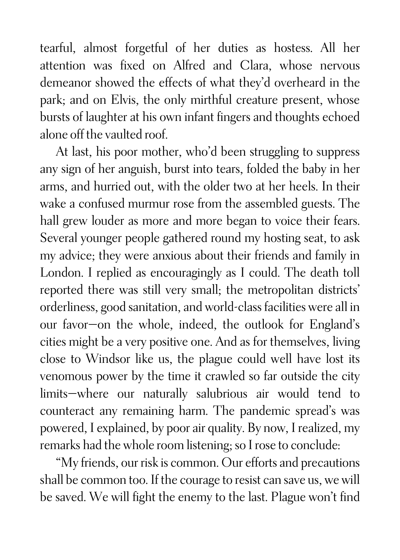tearful, almost forgetful of her duties as hostess. All her attention was fixed on Alfred and Clara, whose nervous demeanor showed the effects of what they'd overheard in the park; and on Elvis, the only mirthful creature present, whose bursts of laughter at his own infant fingers and thoughts echoed alone off the vaulted roof.

At last, his poor mother, who'd been struggling to suppress any sign of her anguish, burst into tears, folded the baby in her arms, and hurried out, with the older two at her heels. In their wake a confused murmur rose from the assembled guests. The hall grew louder as more and more began to voice their fears. Several younger people gathered round my hosting seat, to ask my advice; they were anxious about their friends and family in London. I replied as encouragingly as I could. The death toll reported there was still very small; the metropolitan districts' orderliness, good sanitation, and world-class facilities were all in our favor—on the whole, indeed, the outlook for England's cities might be a very positive one. And as for themselves, living close to Windsor like us, the plague could well have lost its venomous power by the time it crawled so far outside the city limits—where our naturally salubrious air would tend to counteract any remaining harm. The pandemic spread's was powered, I explained, by poor air quality. By now, I realized, my remarks had the whole room listening; so I rose to conclude:

"My friends, our risk is common. Our efforts and precautions shall be common too. If the courage to resist can save us, we will be saved. We will fight the enemy to the last. Plague won't find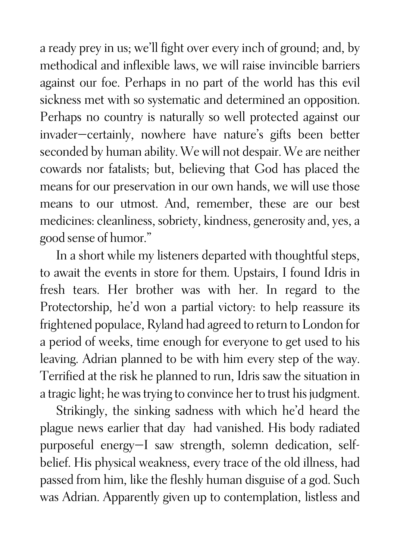a ready prey in us; we'll fight over every inch of ground; and, by methodical and inflexible laws, we will raise invincible barriers against our foe. Perhaps in no part of the world has this evil sickness met with so systematic and determined an opposition. Perhaps no country is naturally so well protected against our invader—certainly, nowhere have nature's gifts been better seconded by human ability. We will not despair. We are neither cowards nor fatalists; but, believing that God has placed the means for our preservation in our own hands, we will use those means to our utmost. And, remember, these are our best medicines: cleanliness, sobriety, kindness, generosity and, yes, a good sense of humor."

In a short while my listeners departed with thoughtful steps, to await the events in store for them. Upstairs, I found Idris in fresh tears. Her brother was with her. In regard to the Protectorship, he'd won a partial victory: to help reassure its frightened populace, Ryland had agreed to return to London for a period of weeks, time enough for everyone to get used to his leaving. Adrian planned to be with him every step of the way. Terrified at the risk he planned to run, Idris saw the situation in a tragic light; he was trying to convince her to trust his judgment.

Strikingly, the sinking sadness with which he'd heard the plague news earlier that day had vanished. His body radiated purposeful energy—I saw strength, solemn dedication, selfbelief. His physical weakness, every trace of the old illness, had passed from him, like the fleshly human disguise of a god. Such was Adrian. Apparently given up to contemplation, listless and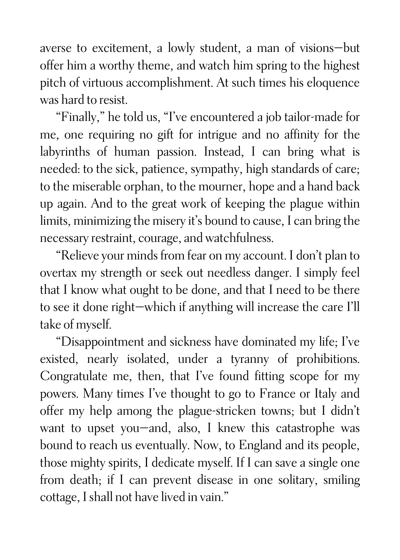averse to excitement, a lowly student, a man of visions—but offer him a worthy theme, and watch him spring to the highest pitch of virtuous accomplishment. At such times his eloquence was hard to resist.

"Finally," he told us, "I've encountered a job tailor-made for me, one requiring no gift for intrigue and no affinity for the labyrinths of human passion. Instead, I can bring what is needed: to the sick, patience, sympathy, high standards of care; to the miserable orphan, to the mourner, hope and a hand back up again. And to the great work of keeping the plague within limits, minimizing the misery it's bound to cause, I can bring the necessary restraint, courage, and watchfulness.

"Relieve your minds from fear on my account. I don't plan to overtax my strength or seek out needless danger. I simply feel that I know what ought to be done, and that I need to be there to see it done right—which if anything will increase the care I'll take of myself.

"Disappointment and sickness have dominated my life; I've existed, nearly isolated, under a tyranny of prohibitions. Congratulate me, then, that I've found fitting scope for my powers. Many times I've thought to go to France or Italy and offer my help among the plague-stricken towns; but I didn't want to upset you—and, also, I knew this catastrophe was bound to reach us eventually. Now, to England and its people, those mighty spirits, I dedicate myself. If I can save a single one from death; if I can prevent disease in one solitary, smiling cottage, I shall not have lived in vain."